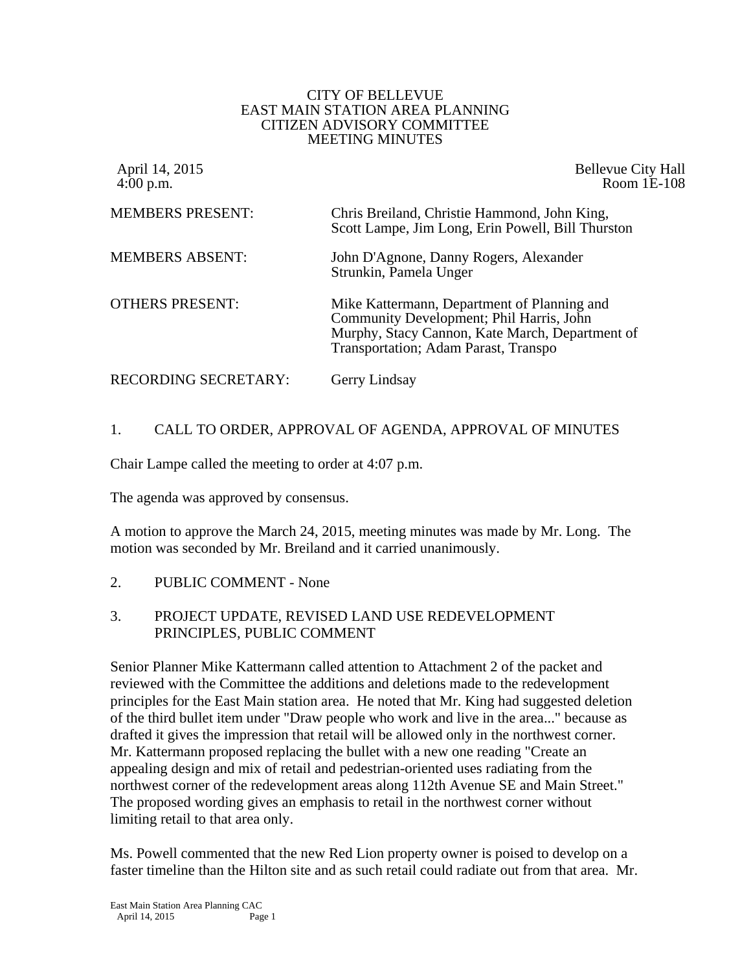#### CITY OF BELLEVUE EAST MAIN STATION AREA PLANNING CITIZEN ADVISORY COMMITTEE MEETING MINUTES

| April 14, 2015<br>$4:00$ p.m. | <b>Bellevue City Hall</b><br>Room 1E-108                                                                                                                                           |
|-------------------------------|------------------------------------------------------------------------------------------------------------------------------------------------------------------------------------|
| <b>MEMBERS PRESENT:</b>       | Chris Breiland, Christie Hammond, John King,<br>Scott Lampe, Jim Long, Erin Powell, Bill Thurston                                                                                  |
| <b>MEMBERS ABSENT:</b>        | John D'Agnone, Danny Rogers, Alexander<br>Strunkin, Pamela Unger                                                                                                                   |
| <b>OTHERS PRESENT:</b>        | Mike Kattermann, Department of Planning and<br>Community Development; Phil Harris, John<br>Murphy, Stacy Cannon, Kate March, Department of<br>Transportation; Adam Parast, Transpo |
| RECORDING SECRETARY:          | Gerry Lindsay                                                                                                                                                                      |

## 1. CALL TO ORDER, APPROVAL OF AGENDA, APPROVAL OF MINUTES

Chair Lampe called the meeting to order at 4:07 p.m.

The agenda was approved by consensus.

A motion to approve the March 24, 2015, meeting minutes was made by Mr. Long. The motion was seconded by Mr. Breiland and it carried unanimously.

2. PUBLIC COMMENT - None

#### 3. PROJECT UPDATE, REVISED LAND USE REDEVELOPMENT PRINCIPLES, PUBLIC COMMENT

Senior Planner Mike Kattermann called attention to Attachment 2 of the packet and reviewed with the Committee the additions and deletions made to the redevelopment principles for the East Main station area. He noted that Mr. King had suggested deletion of the third bullet item under "Draw people who work and live in the area..." because as drafted it gives the impression that retail will be allowed only in the northwest corner. Mr. Kattermann proposed replacing the bullet with a new one reading "Create an appealing design and mix of retail and pedestrian-oriented uses radiating from the northwest corner of the redevelopment areas along 112th Avenue SE and Main Street." The proposed wording gives an emphasis to retail in the northwest corner without limiting retail to that area only.

Ms. Powell commented that the new Red Lion property owner is poised to develop on a faster timeline than the Hilton site and as such retail could radiate out from that area. Mr.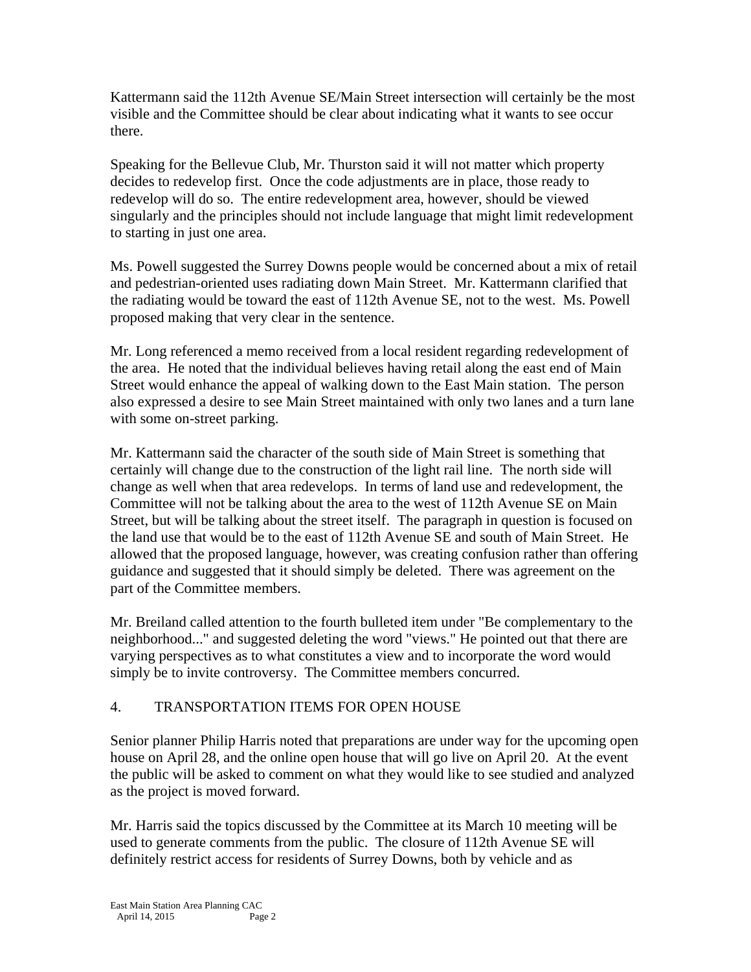Kattermann said the 112th Avenue SE/Main Street intersection will certainly be the most visible and the Committee should be clear about indicating what it wants to see occur there.

Speaking for the Bellevue Club, Mr. Thurston said it will not matter which property decides to redevelop first. Once the code adjustments are in place, those ready to redevelop will do so. The entire redevelopment area, however, should be viewed singularly and the principles should not include language that might limit redevelopment to starting in just one area.

Ms. Powell suggested the Surrey Downs people would be concerned about a mix of retail and pedestrian-oriented uses radiating down Main Street. Mr. Kattermann clarified that the radiating would be toward the east of 112th Avenue SE, not to the west. Ms. Powell proposed making that very clear in the sentence.

Mr. Long referenced a memo received from a local resident regarding redevelopment of the area. He noted that the individual believes having retail along the east end of Main Street would enhance the appeal of walking down to the East Main station. The person also expressed a desire to see Main Street maintained with only two lanes and a turn lane with some on-street parking.

Mr. Kattermann said the character of the south side of Main Street is something that certainly will change due to the construction of the light rail line. The north side will change as well when that area redevelops. In terms of land use and redevelopment, the Committee will not be talking about the area to the west of 112th Avenue SE on Main Street, but will be talking about the street itself. The paragraph in question is focused on the land use that would be to the east of 112th Avenue SE and south of Main Street. He allowed that the proposed language, however, was creating confusion rather than offering guidance and suggested that it should simply be deleted. There was agreement on the part of the Committee members.

Mr. Breiland called attention to the fourth bulleted item under "Be complementary to the neighborhood..." and suggested deleting the word "views." He pointed out that there are varying perspectives as to what constitutes a view and to incorporate the word would simply be to invite controversy. The Committee members concurred.

## 4. TRANSPORTATION ITEMS FOR OPEN HOUSE

Senior planner Philip Harris noted that preparations are under way for the upcoming open house on April 28, and the online open house that will go live on April 20. At the event the public will be asked to comment on what they would like to see studied and analyzed as the project is moved forward.

Mr. Harris said the topics discussed by the Committee at its March 10 meeting will be used to generate comments from the public. The closure of 112th Avenue SE will definitely restrict access for residents of Surrey Downs, both by vehicle and as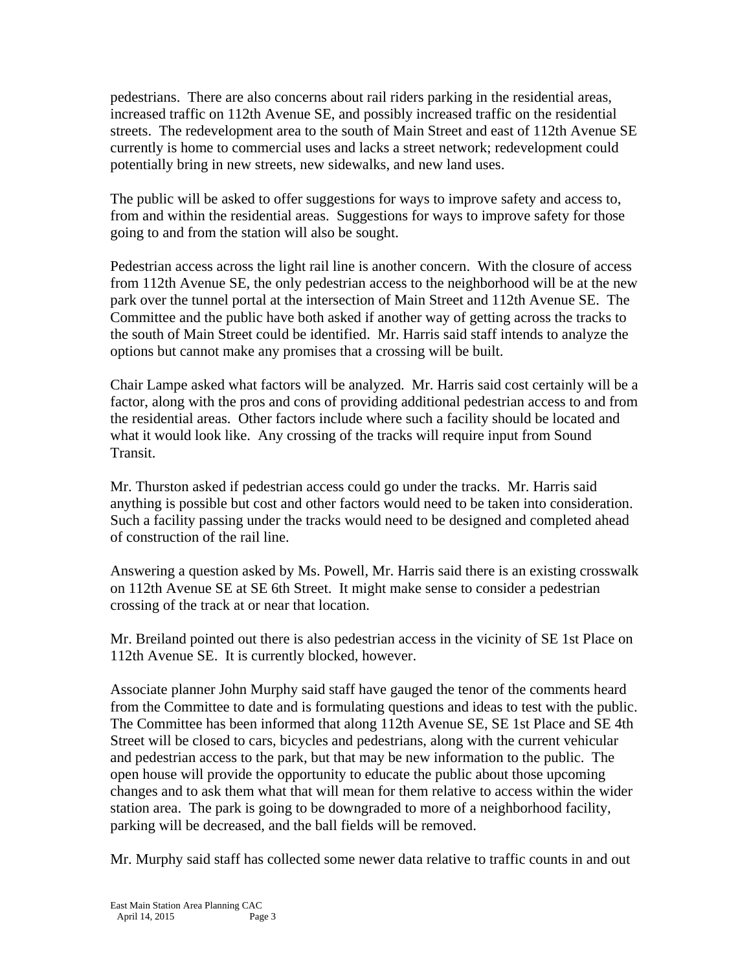pedestrians. There are also concerns about rail riders parking in the residential areas, increased traffic on 112th Avenue SE, and possibly increased traffic on the residential streets. The redevelopment area to the south of Main Street and east of 112th Avenue SE currently is home to commercial uses and lacks a street network; redevelopment could potentially bring in new streets, new sidewalks, and new land uses.

The public will be asked to offer suggestions for ways to improve safety and access to, from and within the residential areas. Suggestions for ways to improve safety for those going to and from the station will also be sought.

Pedestrian access across the light rail line is another concern. With the closure of access from 112th Avenue SE, the only pedestrian access to the neighborhood will be at the new park over the tunnel portal at the intersection of Main Street and 112th Avenue SE. The Committee and the public have both asked if another way of getting across the tracks to the south of Main Street could be identified. Mr. Harris said staff intends to analyze the options but cannot make any promises that a crossing will be built.

Chair Lampe asked what factors will be analyzed. Mr. Harris said cost certainly will be a factor, along with the pros and cons of providing additional pedestrian access to and from the residential areas. Other factors include where such a facility should be located and what it would look like. Any crossing of the tracks will require input from Sound Transit.

Mr. Thurston asked if pedestrian access could go under the tracks. Mr. Harris said anything is possible but cost and other factors would need to be taken into consideration. Such a facility passing under the tracks would need to be designed and completed ahead of construction of the rail line.

Answering a question asked by Ms. Powell, Mr. Harris said there is an existing crosswalk on 112th Avenue SE at SE 6th Street. It might make sense to consider a pedestrian crossing of the track at or near that location.

Mr. Breiland pointed out there is also pedestrian access in the vicinity of SE 1st Place on 112th Avenue SE. It is currently blocked, however.

Associate planner John Murphy said staff have gauged the tenor of the comments heard from the Committee to date and is formulating questions and ideas to test with the public. The Committee has been informed that along 112th Avenue SE, SE 1st Place and SE 4th Street will be closed to cars, bicycles and pedestrians, along with the current vehicular and pedestrian access to the park, but that may be new information to the public. The open house will provide the opportunity to educate the public about those upcoming changes and to ask them what that will mean for them relative to access within the wider station area. The park is going to be downgraded to more of a neighborhood facility, parking will be decreased, and the ball fields will be removed.

Mr. Murphy said staff has collected some newer data relative to traffic counts in and out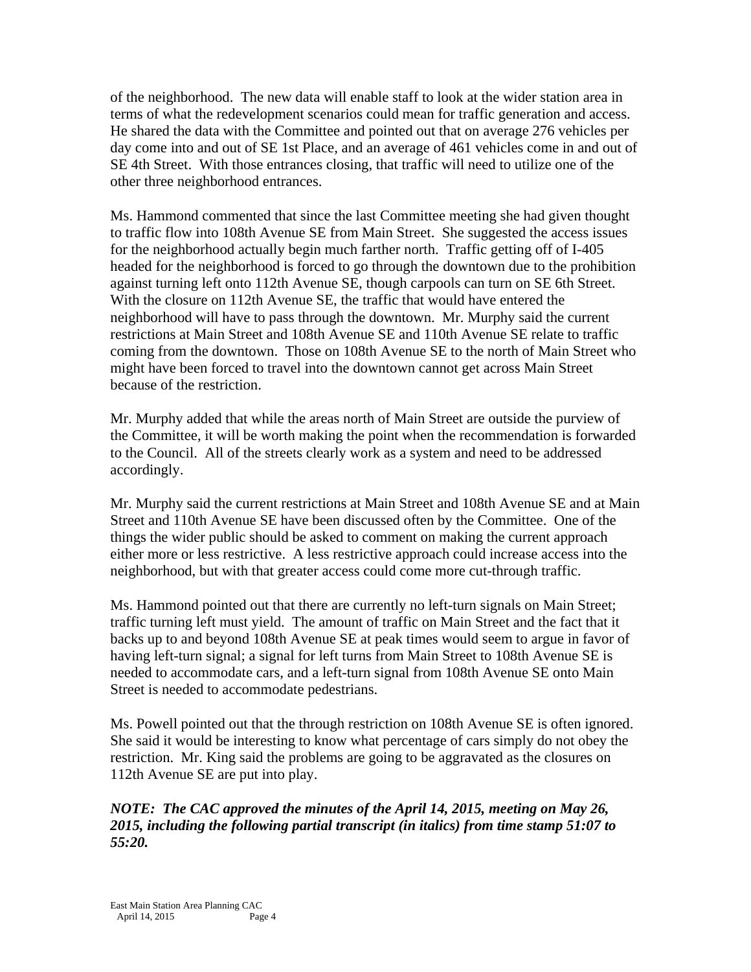of the neighborhood. The new data will enable staff to look at the wider station area in terms of what the redevelopment scenarios could mean for traffic generation and access. He shared the data with the Committee and pointed out that on average 276 vehicles per day come into and out of SE 1st Place, and an average of 461 vehicles come in and out of SE 4th Street. With those entrances closing, that traffic will need to utilize one of the other three neighborhood entrances.

Ms. Hammond commented that since the last Committee meeting she had given thought to traffic flow into 108th Avenue SE from Main Street. She suggested the access issues for the neighborhood actually begin much farther north. Traffic getting off of I-405 headed for the neighborhood is forced to go through the downtown due to the prohibition against turning left onto 112th Avenue SE, though carpools can turn on SE 6th Street. With the closure on 112th Avenue SE, the traffic that would have entered the neighborhood will have to pass through the downtown. Mr. Murphy said the current restrictions at Main Street and 108th Avenue SE and 110th Avenue SE relate to traffic coming from the downtown. Those on 108th Avenue SE to the north of Main Street who might have been forced to travel into the downtown cannot get across Main Street because of the restriction.

Mr. Murphy added that while the areas north of Main Street are outside the purview of the Committee, it will be worth making the point when the recommendation is forwarded to the Council. All of the streets clearly work as a system and need to be addressed accordingly.

Mr. Murphy said the current restrictions at Main Street and 108th Avenue SE and at Main Street and 110th Avenue SE have been discussed often by the Committee. One of the things the wider public should be asked to comment on making the current approach either more or less restrictive. A less restrictive approach could increase access into the neighborhood, but with that greater access could come more cut-through traffic.

Ms. Hammond pointed out that there are currently no left-turn signals on Main Street; traffic turning left must yield. The amount of traffic on Main Street and the fact that it backs up to and beyond 108th Avenue SE at peak times would seem to argue in favor of having left-turn signal; a signal for left turns from Main Street to 108th Avenue SE is needed to accommodate cars, and a left-turn signal from 108th Avenue SE onto Main Street is needed to accommodate pedestrians.

Ms. Powell pointed out that the through restriction on 108th Avenue SE is often ignored. She said it would be interesting to know what percentage of cars simply do not obey the restriction. Mr. King said the problems are going to be aggravated as the closures on 112th Avenue SE are put into play.

*NOTE: The CAC approved the minutes of the April 14, 2015, meeting on May 26, 2015, including the following partial transcript (in italics) from time stamp 51:07 to 55:20.*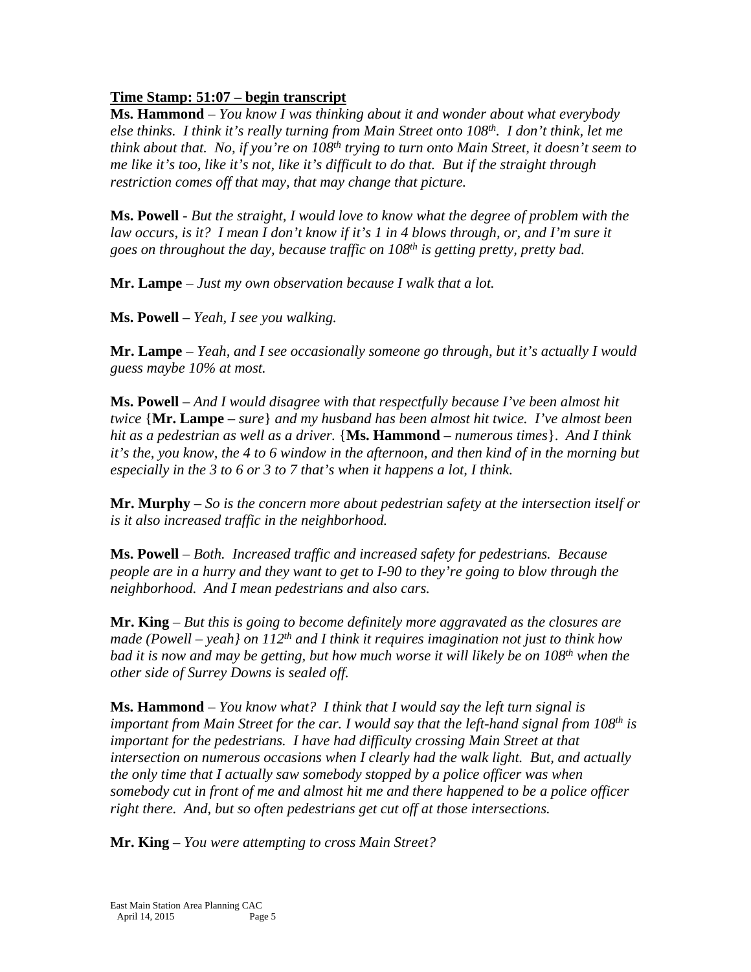# **Time Stamp: 51:07 – begin transcript**

**Ms. Hammond** – *You know I was thinking about it and wonder about what everybody else thinks. I think it's really turning from Main Street onto 108th. I don't think, let me think about that. No, if you're on 108th trying to turn onto Main Street, it doesn't seem to me like it's too, like it's not, like it's difficult to do that. But if the straight through restriction comes off that may, that may change that picture.*

**Ms. Powell** - *But the straight, I would love to know what the degree of problem with the law occurs, is it? I mean I don't know if it's 1 in 4 blows through, or, and I'm sure it goes on throughout the day, because traffic on 108th is getting pretty, pretty bad.*

**Mr. Lampe** *– Just my own observation because I walk that a lot.* 

**Ms. Powell** – *Yeah, I see you walking.* 

**Mr. Lampe** – *Yeah, and I see occasionally someone go through, but it's actually I would guess maybe 10% at most.*

**Ms. Powell** – *And I would disagree with that respectfully because I've been almost hit twice* {**Mr. Lampe** – *sure*} *and my husband has been almost hit twice. I've almost been hit as a pedestrian as well as a driver.* {**Ms. Hammond** – *numerous times*}. *And I think it's the, you know, the 4 to 6 window in the afternoon, and then kind of in the morning but especially in the 3 to 6 or 3 to 7 that's when it happens a lot, I think.* 

**Mr. Murphy** – *So is the concern more about pedestrian safety at the intersection itself or is it also increased traffic in the neighborhood.* 

**Ms. Powell** – *Both. Increased traffic and increased safety for pedestrians. Because people are in a hurry and they want to get to I-90 to they're going to blow through the neighborhood. And I mean pedestrians and also cars.*

**Mr. King** – *But this is going to become definitely more aggravated as the closures are made (Powell – yeah} on 112th and I think it requires imagination not just to think how bad it is now and may be getting, but how much worse it will likely be on 108th when the other side of Surrey Downs is sealed off.*

**Ms. Hammond** – *You know what? I think that I would say the left turn signal is important from Main Street for the car. I would say that the left-hand signal from 108th is important for the pedestrians. I have had difficulty crossing Main Street at that intersection on numerous occasions when I clearly had the walk light. But, and actually the only time that I actually saw somebody stopped by a police officer was when somebody cut in front of me and almost hit me and there happened to be a police officer right there. And, but so often pedestrians get cut off at those intersections.*

**Mr. King** – *You were attempting to cross Main Street?*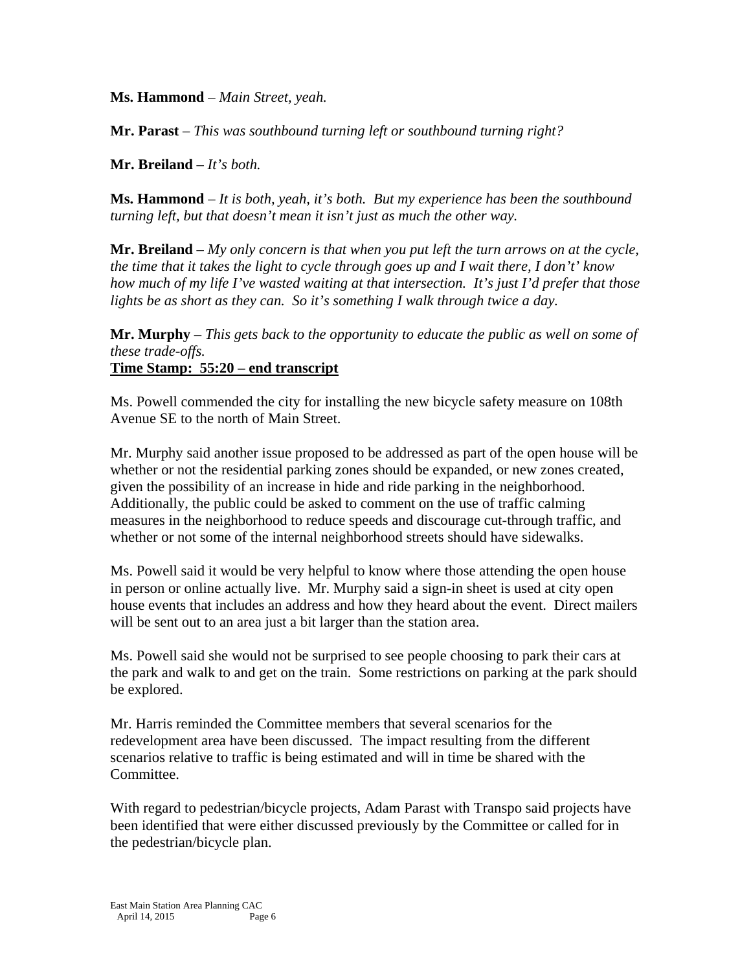**Ms. Hammond** – *Main Street, yeah.*

**Mr. Parast** – *This was southbound turning left or southbound turning right?*

**Mr. Breiland** – *It's both.*

**Ms. Hammond** – *It is both, yeah, it's both. But my experience has been the southbound turning left, but that doesn't mean it isn't just as much the other way.*

**Mr. Breiland** – *My only concern is that when you put left the turn arrows on at the cycle, the time that it takes the light to cycle through goes up and I wait there, I don't' know how much of my life I've wasted waiting at that intersection. It's just I'd prefer that those lights be as short as they can. So it's something I walk through twice a day.*

**Mr. Murphy** – *This gets back to the opportunity to educate the public as well on some of these trade-offs.* **Time Stamp: 55:20 – end transcript** 

Ms. Powell commended the city for installing the new bicycle safety measure on 108th Avenue SE to the north of Main Street.

Mr. Murphy said another issue proposed to be addressed as part of the open house will be whether or not the residential parking zones should be expanded, or new zones created, given the possibility of an increase in hide and ride parking in the neighborhood. Additionally, the public could be asked to comment on the use of traffic calming measures in the neighborhood to reduce speeds and discourage cut-through traffic, and whether or not some of the internal neighborhood streets should have sidewalks.

Ms. Powell said it would be very helpful to know where those attending the open house in person or online actually live. Mr. Murphy said a sign-in sheet is used at city open house events that includes an address and how they heard about the event. Direct mailers will be sent out to an area just a bit larger than the station area.

Ms. Powell said she would not be surprised to see people choosing to park their cars at the park and walk to and get on the train. Some restrictions on parking at the park should be explored.

Mr. Harris reminded the Committee members that several scenarios for the redevelopment area have been discussed. The impact resulting from the different scenarios relative to traffic is being estimated and will in time be shared with the Committee.

With regard to pedestrian/bicycle projects, Adam Parast with Transpo said projects have been identified that were either discussed previously by the Committee or called for in the pedestrian/bicycle plan.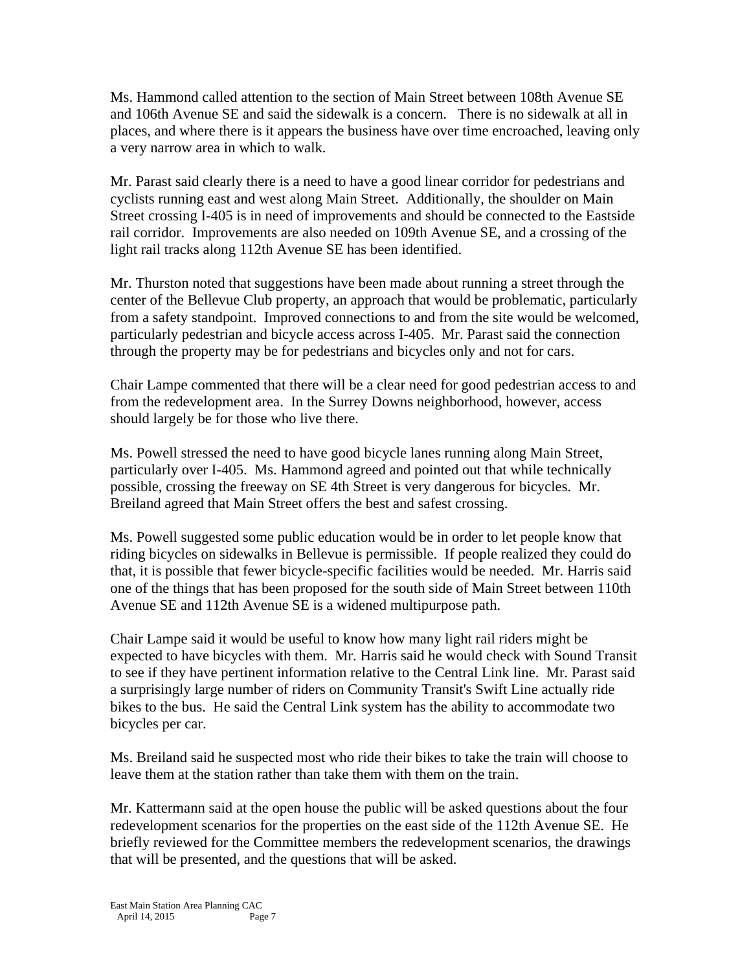Ms. Hammond called attention to the section of Main Street between 108th Avenue SE and 106th Avenue SE and said the sidewalk is a concern. There is no sidewalk at all in places, and where there is it appears the business have over time encroached, leaving only a very narrow area in which to walk.

Mr. Parast said clearly there is a need to have a good linear corridor for pedestrians and cyclists running east and west along Main Street. Additionally, the shoulder on Main Street crossing I-405 is in need of improvements and should be connected to the Eastside rail corridor. Improvements are also needed on 109th Avenue SE, and a crossing of the light rail tracks along 112th Avenue SE has been identified.

Mr. Thurston noted that suggestions have been made about running a street through the center of the Bellevue Club property, an approach that would be problematic, particularly from a safety standpoint. Improved connections to and from the site would be welcomed, particularly pedestrian and bicycle access across I-405. Mr. Parast said the connection through the property may be for pedestrians and bicycles only and not for cars.

Chair Lampe commented that there will be a clear need for good pedestrian access to and from the redevelopment area. In the Surrey Downs neighborhood, however, access should largely be for those who live there.

Ms. Powell stressed the need to have good bicycle lanes running along Main Street, particularly over I-405. Ms. Hammond agreed and pointed out that while technically possible, crossing the freeway on SE 4th Street is very dangerous for bicycles. Mr. Breiland agreed that Main Street offers the best and safest crossing.

Ms. Powell suggested some public education would be in order to let people know that riding bicycles on sidewalks in Bellevue is permissible. If people realized they could do that, it is possible that fewer bicycle-specific facilities would be needed. Mr. Harris said one of the things that has been proposed for the south side of Main Street between 110th Avenue SE and 112th Avenue SE is a widened multipurpose path.

Chair Lampe said it would be useful to know how many light rail riders might be expected to have bicycles with them. Mr. Harris said he would check with Sound Transit to see if they have pertinent information relative to the Central Link line. Mr. Parast said a surprisingly large number of riders on Community Transit's Swift Line actually ride bikes to the bus. He said the Central Link system has the ability to accommodate two bicycles per car.

Ms. Breiland said he suspected most who ride their bikes to take the train will choose to leave them at the station rather than take them with them on the train.

Mr. Kattermann said at the open house the public will be asked questions about the four redevelopment scenarios for the properties on the east side of the 112th Avenue SE. He briefly reviewed for the Committee members the redevelopment scenarios, the drawings that will be presented, and the questions that will be asked.